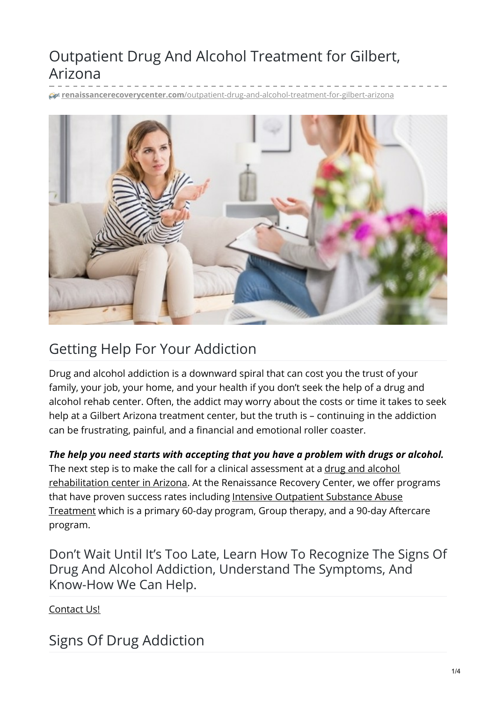# Outpatient Drug And Alcohol Treatment for Gilbert, Arizona

**renaissancerecoverycenter.com**[/outpatient-drug-and-alcohol-treatment-for-gilbert-arizona](https://www.renaissancerecoverycenter.com/outpatient-drug-and-alcohol-treatment-for-gilbert-arizona/)



## Getting Help For Your Addiction

Drug and alcohol addiction is a downward spiral that can cost you the trust of your family, your job, your home, and your health if you don't seek the help of a drug and alcohol rehab center. Often, the addict may worry about the costs or time it takes to seek help at a Gilbert Arizona treatment center, but the truth is – continuing in the addiction can be frustrating, painful, and a financial and emotional roller coaster.

*The help you need starts with accepting that you have a problem with drugs or alcohol.* The next step is to make the call for a clinical assessment at a drug and alcohol [rehabilitation](https://www.renaissancerecoverycenter.com/programs-and-services/) center in Arizona. At the Renaissance Recovery Center, we offer programs that have proven success rates including Intensive [Outpatient](https://www.renaissancerecoverycenter.com/daytime-intensive-outpatient-program-group/) Substance Abuse Treatment which is a primary 60-day program, Group therapy, and a 90-day Aftercare program.

Don't Wait Until It's Too Late, Learn How To Recognize The Signs Of Drug And Alcohol Addiction, Understand The Symptoms, And Know-How We Can Help.

[Contact](https://www.renaissancerecoverycenter.com/contact-us/) Us!

### Signs Of Drug Addiction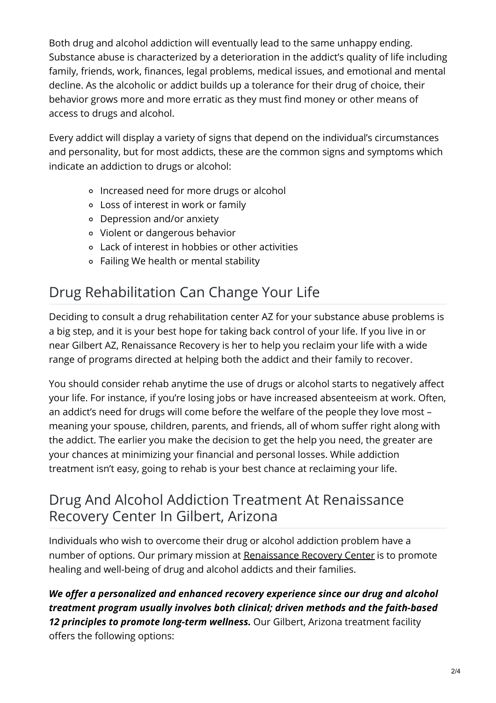Both drug and alcohol addiction will eventually lead to the same unhappy ending. Substance abuse is characterized by a deterioration in the addict's quality of life including family, friends, work, finances, legal problems, medical issues, and emotional and mental decline. As the alcoholic or addict builds up a tolerance for their drug of choice, their behavior grows more and more erratic as they must find money or other means of access to drugs and alcohol.

Every addict will display a variety of signs that depend on the individual's circumstances and personality, but for most addicts, these are the common signs and symptoms which indicate an addiction to drugs or alcohol:

- Increased need for more drugs or alcohol
- Loss of interest in work or family
- Depression and/or anxiety
- Violent or dangerous behavior
- Lack of interest in hobbies or other activities
- Failing We health or mental stability

# Drug Rehabilitation Can Change Your Life

Deciding to consult a drug rehabilitation center AZ for your substance abuse problems is a big step, and it is your best hope for taking back control of your life. If you live in or near Gilbert AZ, Renaissance Recovery is her to help you reclaim your life with a wide range of programs directed at helping both the addict and their family to recover.

You should consider rehab anytime the use of drugs or alcohol starts to negatively affect your life. For instance, if you're losing jobs or have increased absenteeism at work. Often, an addict's need for drugs will come before the welfare of the people they love most – meaning your spouse, children, parents, and friends, all of whom suffer right along with the addict. The earlier you make the decision to get the help you need, the greater are your chances at minimizing your financial and personal losses. While addiction treatment isn't easy, going to rehab is your best chance at reclaiming your life.

## Drug And Alcohol Addiction Treatment At Renaissance Recovery Center In Gilbert, Arizona

Individuals who wish to overcome their drug or alcohol addiction problem have a number of options. Our primary mission at [Renaissance](https://www.renaissancerecoverycenter.com/drug-and-alcohol-treatment-in-mesa-arizona/) Recovery Center is to promote healing and well-being of drug and alcohol addicts and their families.

*We offer a personalized and enhanced recovery experience since our drug and alcohol treatment program usually involves both clinical; driven methods and the faith-based 12 principles to promote long-term wellness.* Our Gilbert, Arizona treatment facility offers the following options: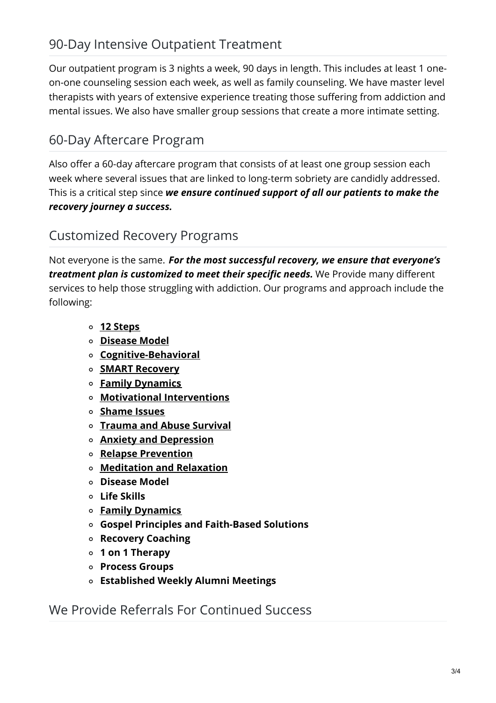### 90-Day Intensive Outpatient Treatment

Our outpatient program is 3 nights a week, 90 days in length. This includes at least 1 oneon-one counseling session each week, as well as family counseling. We have master level therapists with years of extensive experience treating those suffering from addiction and mental issues. We also have smaller group sessions that create a more intimate setting.

### 60-Day Aftercare Program

Also offer a 60-day aftercare program that consists of at least one group session each week where several issues that are linked to long-term sobriety are candidly addressed. This is a critical step since *we ensure continued support of all our patients to make the recovery journey a success.*

#### Customized Recovery Programs

Not everyone is the same. *For the most successful recovery, we ensure that everyone's treatment plan is customized to meet their specific needs.* We Provide many different services to help those struggling with addiction. Our programs and approach include the following:

- **12 [Steps](https://www.renaissancerecoverycenter.com/about-us/the-12-step-program/)**
- **[Disease](https://www.renaissancerecoverycenter.com/about-us/the-disease-model-of-addiction/) Model**
- **[Cognitive-Behavioral](https://www.renaissancerecoverycenter.com/outpatient-treatment/cognitive-behavioral-therapy/)**
- **SMART [Recovery](https://www.renaissancerecoverycenter.com/outpatient-treatment/smart-recovery/)**
- **Family [Dynamics](https://www.renaissancerecoverycenter.com/outpatient-treatment/family-dynamics/)**
- **Motivational [Interventions](https://www.renaissancerecoverycenter.com/outpatient-treatment/motivational-interventions/)**
- **[Shame](https://www.renaissancerecoverycenter.com/shame-issues/) Issues**
- **Trauma and Abuse [Survival](https://www.renaissancerecoverycenter.com/outpatient-treatment/trauma-abuse-addiction/)**
- **Anxiety and [Depression](https://www.renaissancerecoverycenter.com/outpatient-treatment/anxiety-depression-addiction/)**
- **Relapse [Prevention](https://www.renaissancerecoverycenter.com/outpatient-treatment/relapse-prevention/)**
- **[Meditation](https://www.renaissancerecoverycenter.com/outpatient-treatment/meditation-relaxation/) and Relaxation**
- **Disease Model**
- **Life Skills**
- **Family [Dynamics](https://www.renaissancerecoverycenter.com/family-program/)**
- **Gospel Principles and Faith-Based Solutions**
- **Recovery Coaching**
- **1 on 1 Therapy**
- **Process Groups**
- **Established Weekly Alumni Meetings**

We Provide Referrals For Continued Success